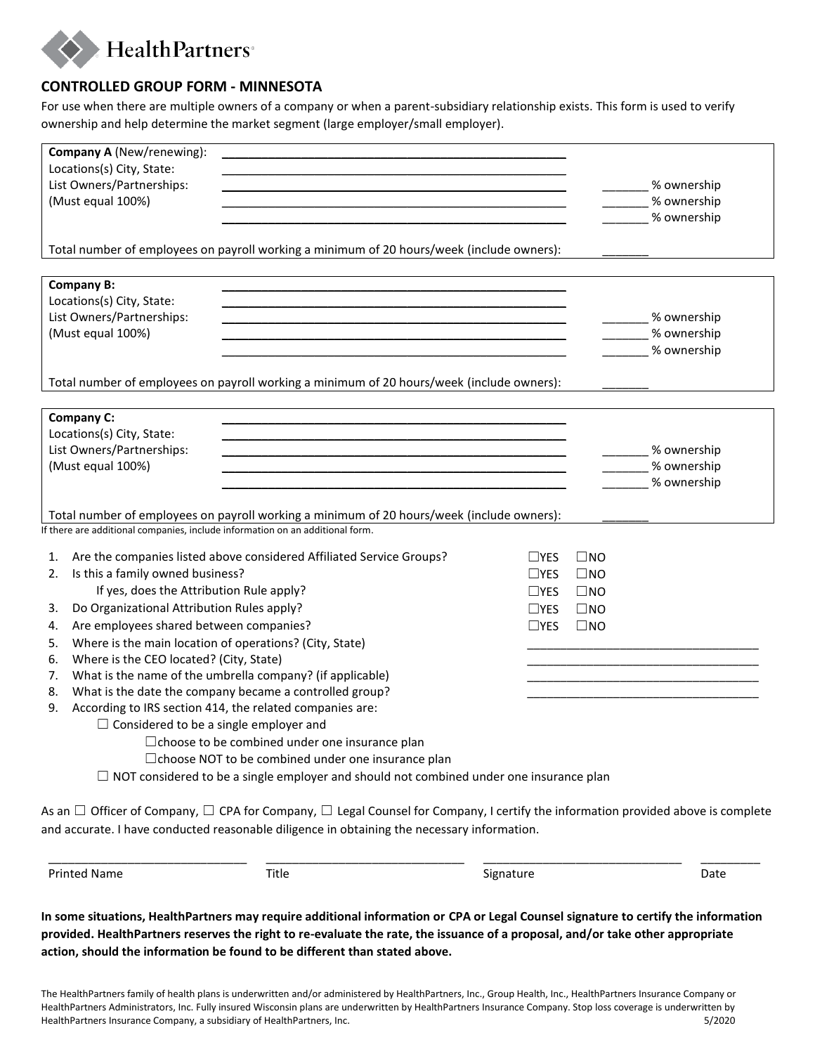

## **CONTROLLED GROUP FORM - MINNESOTA**

For use when there are multiple owners of a company or when a parent-subsidiary relationship exists. This form is used to verify ownership and help determine the market segment (large employer/small employer).

|                                                                                                | Company A (New/renewing):                                                                  |  |  |  |                            |              |                                                                                                                                                 |
|------------------------------------------------------------------------------------------------|--------------------------------------------------------------------------------------------|--|--|--|----------------------------|--------------|-------------------------------------------------------------------------------------------------------------------------------------------------|
| Locations(s) City, State:                                                                      |                                                                                            |  |  |  |                            |              |                                                                                                                                                 |
| List Owners/Partnerships:                                                                      |                                                                                            |  |  |  |                            |              | % ownership                                                                                                                                     |
| (Must equal 100%)                                                                              |                                                                                            |  |  |  |                            |              | % ownership                                                                                                                                     |
|                                                                                                |                                                                                            |  |  |  |                            |              | % ownership                                                                                                                                     |
|                                                                                                |                                                                                            |  |  |  |                            |              |                                                                                                                                                 |
|                                                                                                | Total number of employees on payroll working a minimum of 20 hours/week (include owners):  |  |  |  |                            |              |                                                                                                                                                 |
|                                                                                                |                                                                                            |  |  |  |                            |              |                                                                                                                                                 |
| <b>Company B:</b>                                                                              |                                                                                            |  |  |  |                            |              |                                                                                                                                                 |
| Locations(s) City, State:                                                                      |                                                                                            |  |  |  |                            |              |                                                                                                                                                 |
| List Owners/Partnerships:                                                                      |                                                                                            |  |  |  |                            |              | _ % ownership                                                                                                                                   |
| (Must equal 100%)                                                                              |                                                                                            |  |  |  |                            |              | % ownership                                                                                                                                     |
|                                                                                                |                                                                                            |  |  |  |                            |              | % ownership                                                                                                                                     |
| Total number of employees on payroll working a minimum of 20 hours/week (include owners):      |                                                                                            |  |  |  |                            |              |                                                                                                                                                 |
|                                                                                                |                                                                                            |  |  |  |                            |              |                                                                                                                                                 |
| Company C:                                                                                     |                                                                                            |  |  |  |                            |              |                                                                                                                                                 |
|                                                                                                | Locations(s) City, State:                                                                  |  |  |  |                            |              |                                                                                                                                                 |
| List Owners/Partnerships:                                                                      |                                                                                            |  |  |  |                            |              | _______% ownership                                                                                                                              |
| (Must equal 100%)                                                                              |                                                                                            |  |  |  |                            |              | % ownership                                                                                                                                     |
|                                                                                                |                                                                                            |  |  |  |                            |              | % ownership                                                                                                                                     |
|                                                                                                |                                                                                            |  |  |  |                            |              |                                                                                                                                                 |
| Total number of employees on payroll working a minimum of 20 hours/week (include owners):      |                                                                                            |  |  |  |                            |              |                                                                                                                                                 |
|                                                                                                | If there are additional companies, include information on an additional form.              |  |  |  |                            |              |                                                                                                                                                 |
|                                                                                                |                                                                                            |  |  |  |                            |              |                                                                                                                                                 |
|                                                                                                | Are the companies listed above considered Affiliated Service Groups?<br>1.<br>$\sqcup$ YES |  |  |  |                            | $\square$ NO |                                                                                                                                                 |
| 2.                                                                                             | Is this a family owned business?                                                           |  |  |  | $\Box$ YES                 | $\square$ NO |                                                                                                                                                 |
| If yes, does the Attribution Rule apply?                                                       |                                                                                            |  |  |  | $\sqcup$ YES<br>$\Box$ YES | $\square$ NO |                                                                                                                                                 |
| 3.                                                                                             | Do Organizational Attribution Rules apply?                                                 |  |  |  |                            | $\square$ NO |                                                                                                                                                 |
| 4.                                                                                             | Are employees shared between companies?                                                    |  |  |  |                            | $\square$ NO |                                                                                                                                                 |
| 5.                                                                                             | Where is the main location of operations? (City, State)                                    |  |  |  |                            |              |                                                                                                                                                 |
| 6.                                                                                             | Where is the CEO located? (City, State)                                                    |  |  |  |                            |              |                                                                                                                                                 |
|                                                                                                | What is the name of the umbrella company? (if applicable)<br>7.                            |  |  |  |                            |              |                                                                                                                                                 |
| 8.                                                                                             | What is the date the company became a controlled group?                                    |  |  |  |                            |              |                                                                                                                                                 |
| According to IRS section 414, the related companies are:<br>9.                                 |                                                                                            |  |  |  |                            |              |                                                                                                                                                 |
| $\Box$ Considered to be a single employer and                                                  |                                                                                            |  |  |  |                            |              |                                                                                                                                                 |
| □ choose to be combined under one insurance plan                                               |                                                                                            |  |  |  |                            |              |                                                                                                                                                 |
| □ choose NOT to be combined under one insurance plan                                           |                                                                                            |  |  |  |                            |              |                                                                                                                                                 |
| $\Box$ NOT considered to be a single employer and should not combined under one insurance plan |                                                                                            |  |  |  |                            |              |                                                                                                                                                 |
|                                                                                                |                                                                                            |  |  |  |                            |              |                                                                                                                                                 |
|                                                                                                |                                                                                            |  |  |  |                            |              | As an $\Box$ Officer of Company, $\Box$ CPA for Company, $\Box$ Legal Counsel for Company, I certify the information provided above is complete |
| and accurate. I have conducted reasonable diligence in obtaining the necessary information.    |                                                                                            |  |  |  |                            |              |                                                                                                                                                 |
|                                                                                                |                                                                                            |  |  |  |                            |              |                                                                                                                                                 |

Printed Name **Title Signature** Signature Signature Date

**In some situations, HealthPartners may require additional information or CPA or Legal Counsel signature to certify the information provided. HealthPartners reserves the right to re-evaluate the rate, the issuance of a proposal, and/or take other appropriate action, should the information be found to be different than stated above.** 

\_\_\_\_\_\_\_\_\_\_\_\_\_\_\_\_\_\_\_\_\_\_\_\_\_\_\_\_\_\_ \_\_\_\_\_\_\_\_\_\_\_\_\_\_\_\_\_\_\_\_\_\_\_\_\_\_\_\_\_\_ \_\_\_\_\_\_\_\_\_\_\_\_\_\_\_\_\_\_\_\_\_\_\_\_\_\_\_\_\_\_ \_\_\_\_\_\_\_\_\_

The HealthPartners family of health plans is underwritten and/or administered by HealthPartners, Inc., Group Health, Inc., HealthPartners Insurance Company or HealthPartners Administrators, Inc. Fully insured Wisconsin plans are underwritten by HealthPartners Insurance Company. Stop loss coverage is underwritten by HealthPartners Insurance Company, a subsidiary of HealthPartners, Inc. 5/2020